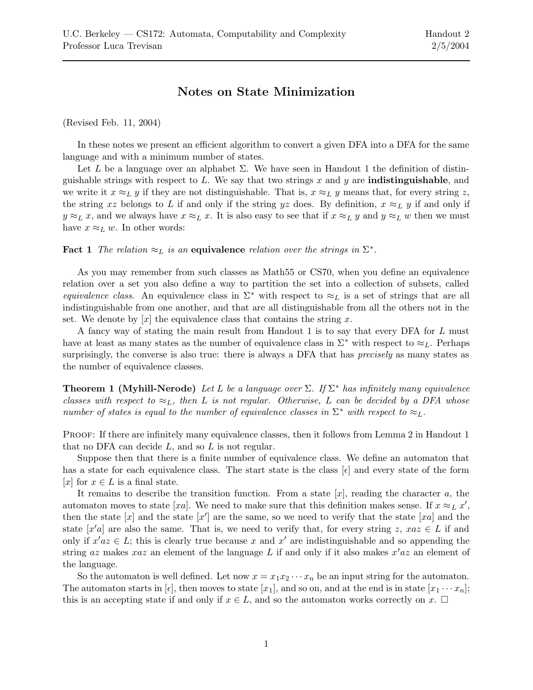## Notes on State Minimization

(Revised Feb. 11, 2004)

In these notes we present an efficient algorithm to convert a given DFA into a DFA for the same language and with a minimum number of states.

Let L be a language over an alphabet  $\Sigma$ . We have seen in Handout 1 the definition of distinguishable strings with respect to  $L$ . We say that two strings  $x$  and  $y$  are **indistinguishable**, and we write it  $x \approx_L y$  if they are not distinguishable. That is,  $x \approx_L y$  means that, for every string z, the string xz belongs to L if and only if the string yz does. By definition,  $x \approx_L y$  if and only if  $y \approx_L x$ , and we always have  $x \approx_L x$ . It is also easy to see that if  $x \approx_L y$  and  $y \approx_L w$  then we must have  $x \approx_L w$ . In other words:

**Fact 1** The relation  $\approx_L$  is an equivalence relation over the strings in  $\Sigma^*$ .

As you may remember from such classes as Math55 or CS70, when you define an equivalence relation over a set you also define a way to partition the set into a collection of subsets, called equivalence class. An equivalence class in  $\Sigma^*$  with respect to  $\approx_L$  is a set of strings that are all indistinguishable from one another, and that are all distinguishable from all the others not in the set. We denote by |x| the equivalence class that contains the string x.

A fancy way of stating the main result from Handout 1 is to say that every DFA for L must have at least as many states as the number of equivalence class in  $\Sigma^*$  with respect to  $\approx_L$ . Perhaps surprisingly, the converse is also true: there is always a DFA that has *precisely* as many states as the number of equivalence classes.

**Theorem 1 (Myhill-Nerode)** Let L be a language over  $\Sigma$ . If  $\Sigma^*$  has infinitely many equivalence classes with respect to  $\approx_L$ , then L is not regular. Otherwise, L can be decided by a DFA whose number of states is equal to the number of equivalence classes in  $\Sigma^*$  with respect to  $\approx_L$ .

PROOF: If there are infinitely many equivalence classes, then it follows from Lemma 2 in Handout 1 that no DFA can decide  $L$ , and so  $L$  is not regular.

Suppose then that there is a finite number of equivalence class. We define an automaton that has a state for each equivalence class. The start state is the class  $[\epsilon]$  and every state of the form [x] for  $x \in L$  is a final state.

It remains to describe the transition function. From a state  $[x]$ , reading the character a, the automaton moves to state [xa]. We need to make sure that this definition makes sense. If  $x \approx_L x'$ , then the state  $[x]$  and the state  $[x']$  are the same, so we need to verify that the state  $[xa]$  and the state  $[x'a]$  are also the same. That is, we need to verify that, for every string z,  $xaz \in L$  if and only if  $x'az \in L$ ; this is clearly true because x and x' are indistinguishable and so appending the string az makes xaz an element of the language L if and only if it also makes  $x'az$  an element of the language.

So the automaton is well defined. Let now  $x = x_1 x_2 \cdots x_n$  be an input string for the automaton. The automaton starts in [ $\epsilon$ ], then moves to state [ $x_1$ ], and so on, and at the end is in state [ $x_1 \cdots x_n$ ]; this is an accepting state if and only if  $x \in L$ , and so the automaton works correctly on x.  $\square$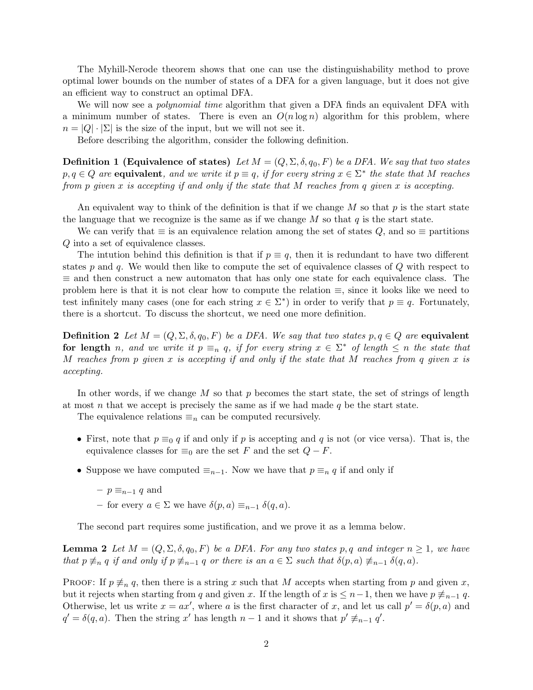The Myhill-Nerode theorem shows that one can use the distinguishability method to prove optimal lower bounds on the number of states of a DFA for a given language, but it does not give an efficient way to construct an optimal DFA.

We will now see a *polynomial time* algorithm that given a DFA finds an equivalent DFA with a minimum number of states. There is even an  $O(n \log n)$  algorithm for this problem, where  $n = |Q| \cdot |\Sigma|$  is the size of the input, but we will not see it.

Before describing the algorithm, consider the following definition.

Definition 1 (Equivalence of states) Let  $M = (Q, \Sigma, \delta, q_0, F)$  be a DFA. We say that two states  $p, q \in Q$  are **equivalent**, and we write it  $p \equiv q$ , if for every string  $x \in \Sigma^*$  the state that M reaches from  $p$  given  $x$  is accepting if and only if the state that  $M$  reaches from  $q$  given  $x$  is accepting.

An equivalent way to think of the definition is that if we change  $M$  so that  $p$  is the start state the language that we recognize is the same as if we change  $M$  so that  $q$  is the start state.

We can verify that  $\equiv$  is an equivalence relation among the set of states Q, and so  $\equiv$  partitions Q into a set of equivalence classes.

The intution behind this definition is that if  $p \equiv q$ , then it is redundant to have two different states p and q. We would then like to compute the set of equivalence classes of  $Q$  with respect to  $\equiv$  and then construct a new automaton that has only one state for each equivalence class. The problem here is that it is not clear how to compute the relation ≡, since it looks like we need to test infinitely many cases (one for each string  $x \in \Sigma^*$ ) in order to verify that  $p \equiv q$ . Fortunately, there is a shortcut. To discuss the shortcut, we need one more definition.

**Definition 2** Let  $M = (Q, \Sigma, \delta, q_0, F)$  be a DFA. We say that two states  $p, q \in Q$  are equivalent for length n, and we write it  $p \equiv_n q$ , if for every string  $x \in \Sigma^*$  of length  $\leq n$  the state that M reaches from p given x is accepting if and only if the state that M reaches from q given x is accepting.

In other words, if we change  $M$  so that  $p$  becomes the start state, the set of strings of length at most n that we accept is precisely the same as if we had made  $q$  be the start state.

The equivalence relations  $\equiv_n$  can be computed recursively.

- First, note that  $p \equiv_0 q$  if and only if p is accepting and q is not (or vice versa). That is, the equivalence classes for  $\equiv_0$  are the set F and the set  $Q-F$ .
- Suppose we have computed  $\equiv_{n-1}$ . Now we have that  $p \equiv_n q$  if and only if
	- $p \equiv_{n-1} q$  and
	- for every  $a \in \Sigma$  we have  $\delta(p, a) \equiv_{n-1} \delta(q, a)$ .

The second part requires some justification, and we prove it as a lemma below.

**Lemma 2** Let  $M = (Q, \Sigma, \delta, q_0, F)$  be a DFA. For any two states p, q and integer  $n \geq 1$ , we have that  $p \neq_n q$  if and only if  $p \neq_{n-1} q$  or there is an  $a \in \Sigma$  such that  $\delta(p, a) \neq_{n-1} \delta(q, a)$ .

PROOF: If  $p \neq_n q$ , then there is a string x such that M accepts when starting from p and given x, but it rejects when starting from q and given x. If the length of x is  $\leq n-1$ , then we have  $p \neq_{n-1} q$ . Otherwise, let us write  $x = ax'$ , where a is the first character of x, and let us call  $p' = \delta(p, a)$  and  $q' = \delta(q, a)$ . Then the string x' has length  $n - 1$  and it shows that  $p' \not\equiv_{n-1} q'$ .